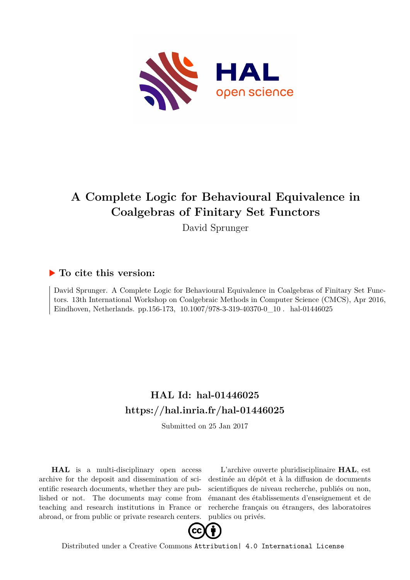

# **A Complete Logic for Behavioural Equivalence in Coalgebras of Finitary Set Functors**

David Sprunger

# **To cite this version:**

David Sprunger. A Complete Logic for Behavioural Equivalence in Coalgebras of Finitary Set Functors. 13th International Workshop on Coalgebraic Methods in Computer Science (CMCS), Apr 2016, Eindhoven, Netherlands. pp.156-173, 10.1007/978-3-319-40370-0\_10  $.$  hal-01446025

# **HAL Id: hal-01446025 <https://hal.inria.fr/hal-01446025>**

Submitted on 25 Jan 2017

**HAL** is a multi-disciplinary open access archive for the deposit and dissemination of scientific research documents, whether they are published or not. The documents may come from teaching and research institutions in France or abroad, or from public or private research centers.

L'archive ouverte pluridisciplinaire **HAL**, est destinée au dépôt et à la diffusion de documents scientifiques de niveau recherche, publiés ou non, émanant des établissements d'enseignement et de recherche français ou étrangers, des laboratoires publics ou privés.



Distributed under a Creative Commons [Attribution| 4.0 International License](http://creativecommons.org/licenses/by/4.0/)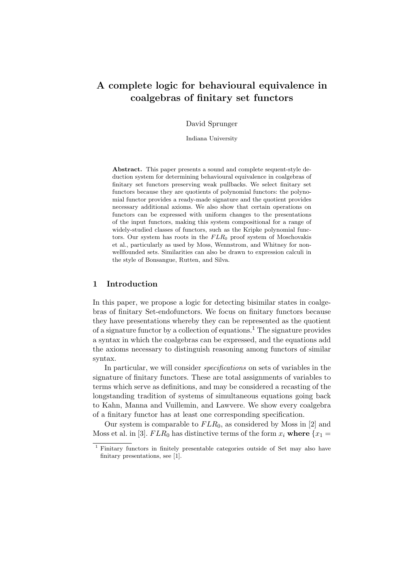# A complete logic for behavioural equivalence in coalgebras of finitary set functors

David Sprunger

Indiana University

Abstract. This paper presents a sound and complete sequent-style deduction system for determining behavioural equivalence in coalgebras of finitary set functors preserving weak pullbacks. We select finitary set functors because they are quotients of polynomial functors: the polynomial functor provides a ready-made signature and the quotient provides necessary additional axioms. We also show that certain operations on functors can be expressed with uniform changes to the presentations of the input functors, making this system compositional for a range of widely-studied classes of functors, such as the Kripke polynomial functors. Our system has roots in the  $FLR_0$  proof system of Moschovakis et al., particularly as used by Moss, Wennstrom, and Whitney for nonwellfounded sets. Similarities can also be drawn to expression calculi in the style of Bonsangue, Rutten, and Silva.

# 1 Introduction

In this paper, we propose a logic for detecting bisimilar states in coalgebras of finitary Set-endofunctors. We focus on finitary functors because they have presentations whereby they can be represented as the quotient of a signature functor by a collection of equations.<sup>1</sup> The signature provides a syntax in which the coalgebras can be expressed, and the equations add the axioms necessary to distinguish reasoning among functors of similar syntax.

In particular, we will consider *specifications* on sets of variables in the signature of finitary functors. These are total assignments of variables to terms which serve as definitions, and may be considered a recasting of the longstanding tradition of systems of simultaneous equations going back to Kahn, Manna and Vuillemin, and Lawvere. We show every coalgebra of a finitary functor has at least one corresponding specification.

Our system is comparable to  $FLR_0$ , as considered by Moss in [2] and Moss et al. in [3]. FLR<sub>0</sub> has distinctive terms of the form  $x_i$  where  $\{x_1 =$ 

<sup>1</sup> Finitary functors in finitely presentable categories outside of Set may also have finitary presentations, see [1].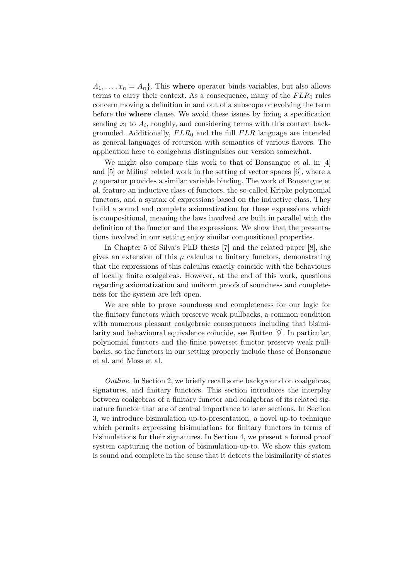$A_1, \ldots, x_n = A_n$ . This where operator binds variables, but also allows terms to carry their context. As a consequence, many of the  $FLR_0$  rules concern moving a definition in and out of a subscope or evolving the term before the where clause. We avoid these issues by fixing a specification sending  $x_i$  to  $A_i$ , roughly, and considering terms with this context backgrounded. Additionally,  $FLR_0$  and the full  $FLR$  language are intended as general languages of recursion with semantics of various flavors. The application here to coalgebras distinguishes our version somewhat.

We might also compare this work to that of Bonsangue et al. in [4] and [5] or Milius' related work in the setting of vector spaces [6], where a  $\mu$  operator provides a similar variable binding. The work of Bonsangue et al. feature an inductive class of functors, the so-called Kripke polynomial functors, and a syntax of expressions based on the inductive class. They build a sound and complete axiomatization for these expressions which is compositional, meaning the laws involved are built in parallel with the definition of the functor and the expressions. We show that the presentations involved in our setting enjoy similar compositional properties.

In Chapter 5 of Silva's PhD thesis [7] and the related paper [8], she gives an extension of this  $\mu$  calculus to finitary functors, demonstrating that the expressions of this calculus exactly coincide with the behaviours of locally finite coalgebras. However, at the end of this work, questions regarding axiomatization and uniform proofs of soundness and completeness for the system are left open.

We are able to prove soundness and completeness for our logic for the finitary functors which preserve weak pullbacks, a common condition with numerous pleasant coalgebraic consequences including that bisimilarity and behavioural equivalence coincide, see Rutten [9]. In particular, polynomial functors and the finite powerset functor preserve weak pullbacks, so the functors in our setting properly include those of Bonsangue et al. and Moss et al.

Outline. In Section 2, we briefly recall some background on coalgebras, signatures, and finitary functors. This section introduces the interplay between coalgebras of a finitary functor and coalgebras of its related signature functor that are of central importance to later sections. In Section 3, we introduce bisimulation up-to-presentation, a novel up-to technique which permits expressing bisimulations for finitary functors in terms of bisimulations for their signatures. In Section 4, we present a formal proof system capturing the notion of bisimulation-up-to. We show this system is sound and complete in the sense that it detects the bisimilarity of states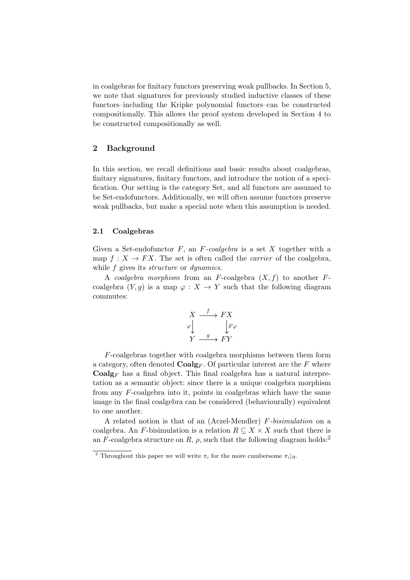in coalgebras for finitary functors preserving weak pullbacks. In Section 5, we note that signatures for previously studied inductive classes of these functors–including the Kripke polynomial functors–can be constructed compositionally. This allows the proof system developed in Section 4 to be constructed compositionally as well.

# 2 Background

In this section, we recall definitions and basic results about coalgebras, finitary signatures, finitary functors, and introduce the notion of a specification. Our setting is the category Set, and all functors are assumed to be Set-endofunctors. Additionally, we will often assume functors preserve weak pullbacks, but make a special note when this assumption is needed.

#### 2.1 Coalgebras

Given a Set-endofunctor  $F$ , an  $F$ -coalgebra is a set  $X$  together with a map  $f: X \to FX$ . The set is often called the *carrier* of the coalgebra, while  $f$  gives its structure or dynamics.

A coalgebra morphism from an F-coalgebra  $(X, f)$  to another Fcoalgebra  $(Y, g)$  is a map  $\varphi: X \to Y$  such that the following diagram commutes:

$$
X \xrightarrow{f} FX
$$
  
\n
$$
\varphi \downarrow \qquad \qquad \downarrow F\varphi
$$
  
\n
$$
Y \xrightarrow{g} FY
$$

F-coalgebras together with coalgebra morphisms between them form a category, often denoted  $\mathbf{Coalg}_F$ . Of particular interest are the F where  $Coalg_F$  has a final object. This final coalgebra has a natural interpretation as a semantic object: since there is a unique coalgebra morphism from any  $F$ -coalgebra into it, points in coalgebras which have the same image in the final coalgebra can be considered (behaviourally) equivalent to one another.

A related notion is that of an (Aczel-Mendler) F-bisimulation on a coalgebra. An F-bisimulation is a relation  $R \subseteq X \times X$  such that there is an F-coalgebra structure on R,  $\rho$ , such that the following diagram holds:<sup>2</sup>

<sup>&</sup>lt;sup>2</sup> Throughout this paper we will write  $\pi_i$  for the more cumbersome  $\pi_i|_R$ .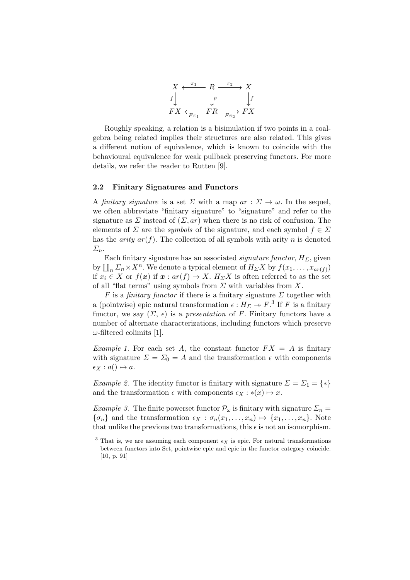

Roughly speaking, a relation is a bisimulation if two points in a coalgebra being related implies their structures are also related. This gives a different notion of equivalence, which is known to coincide with the behavioural equivalence for weak pullback preserving functors. For more details, we refer the reader to Rutten [9].

#### 2.2 Finitary Signatures and Functors

A finitary signature is a set  $\Sigma$  with a map  $ar : \Sigma \to \omega$ . In the sequel, we often abbreviate "finitary signature" to "signature" and refer to the signature as  $\Sigma$  instead of  $(\Sigma, ar)$  when there is no risk of confusion. The elements of  $\Sigma$  are the *symbols* of the signature, and each symbol  $f \in \Sigma$ has the *arity*  $ar(f)$ . The collection of all symbols with arity n is denoted  $\Sigma_n$ .

Each finitary signature has an associated *signature functor*,  $H_{\Sigma}$ , given by  $\prod_n \sum_n \times X^n$ . We denote a typical element of  $H_\Sigma X$  by  $f(x_1, \ldots, x_{ar(f)})$ if  $x_i \in X$  or  $f(x)$  if  $x : ar(f) \to X$ .  $H_\Sigma X$  is often referred to as the set of all "flat terms" using symbols from  $\Sigma$  with variables from  $X$ .

F is a finitary functor if there is a finitary signature  $\Sigma$  together with a (pointwise) epic natural transformation  $\epsilon: H_{\Sigma} \to F$ <sup>3</sup>. If F is a finitary functor, we say  $(\Sigma, \epsilon)$  is a presentation of F. Finitary functors have a number of alternate characterizations, including functors which preserve  $\omega$ -filtered colimits [1].

*Example 1.* For each set A, the constant functor  $FX = A$  is finitary with signature  $\Sigma = \Sigma_0 = A$  and the transformation  $\epsilon$  with components  $\epsilon_X : a() \mapsto a$ .

*Example 2.* The identity functor is finitary with signature  $\Sigma = \Sigma_1 = \{*\}$ and the transformation  $\epsilon$  with components  $\epsilon_X : * (x) \mapsto x$ .

*Example 3.* The finite powerset functor  $\mathcal{P}_{\omega}$  is finitary with signature  $\Sigma_n =$  ${\lbrace \sigma_n \rbrace}$  and the transformation  $\epsilon_X : \sigma_n(x_1, \ldots, x_n) \mapsto {\lbrace x_1, \ldots, x_n \rbrace}$ . Note that unlike the previous two transformations, this  $\epsilon$  is not an isomorphism.

<sup>&</sup>lt;sup>3</sup> That is, we are assuming each component  $\epsilon_X$  is epic. For natural transformations between functors into Set, pointwise epic and epic in the functor category coincide. [10, p. 91]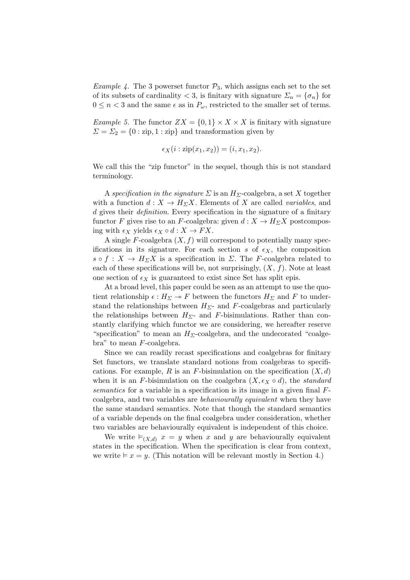*Example 4.* The 3 powerset functor  $P_3$ , which assigns each set to the set of its subsets of cardinality  $<$  3, is finitary with signature  $\Sigma_n = {\lbrace \sigma_n \rbrace}$  for  $0 \leq n < 3$  and the same  $\epsilon$  as in  $P_{\omega}$ , restricted to the smaller set of terms.

*Example 5.* The functor  $ZX = \{0, 1\} \times X \times X$  is finitary with signature  $\Sigma = \Sigma_2 = \{0 : \text{zip}, 1 : \text{zip}\}$  and transformation given by

$$
\epsilon_X(i: \mathrm{zip}(x_1, x_2)) = (i, x_1, x_2).
$$

We call this the "zip functor" in the sequel, though this is not standard terminology.

A specification in the signature  $\Sigma$  is an  $H_{\Sigma}$ -coalgebra, a set X together with a function  $d: X \to H_{\Sigma}X$ . Elements of X are called variables, and d gives their *definition*. Every specification in the signature of a finitary functor F gives rise to an F-coalgebra: given  $d: X \to H_{\Sigma}X$  postcomposing with  $\epsilon_X$  yields  $\epsilon_X \circ d : X \to FX$ .

A single  $F$ -coalgebra  $(X, f)$  will correspond to potentially many specifications in its signature. For each section s of  $\epsilon_X$ , the composition  $s \circ f : X \to H_{\Sigma}X$  is a specification in  $\Sigma$ . The F-coalgebra related to each of these specifications will be, not surprisingly,  $(X, f)$ . Note at least one section of  $\epsilon_X$  is guaranteed to exist since Set has split epis.

At a broad level, this paper could be seen as an attempt to use the quotient relationship  $\epsilon : H_{\Sigma} \to F$  between the functors  $H_{\Sigma}$  and F to understand the relationships between  $H_{\Sigma}$ - and F-coalgebras and particularly the relationships between  $H_{\Sigma}$ - and F-bisimulations. Rather than constantly clarifying which functor we are considering, we hereafter reserve "specification" to mean an  $H_{\Sigma}$ -coalgebra, and the undecorated "coalgebra" to mean F-coalgebra.

Since we can readily recast specifications and coalgebras for finitary Set functors, we translate standard notions from coalgebras to specifications. For example, R is an F-bisimulation on the specification  $(X, d)$ when it is an F-bisimulation on the coalgebra  $(X, \epsilon_X \circ d)$ , the standard semantics for a variable in a specification is its image in a given final Fcoalgebra, and two variables are behaviourally equivalent when they have the same standard semantics. Note that though the standard semantics of a variable depends on the final coalgebra under consideration, whether two variables are behaviourally equivalent is independent of this choice.

We write  $\models$ (*X*,*d*)  $x = y$  when x and y are behaviourally equivalent states in the specification. When the specification is clear from context, we write  $\models x = y$ . (This notation will be relevant mostly in Section 4.)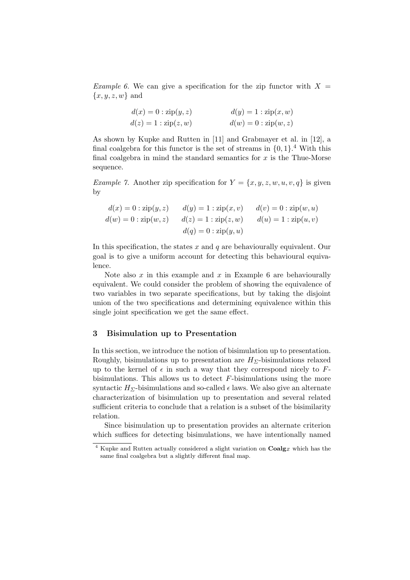*Example 6.* We can give a specification for the zip functor with  $X =$  ${x, y, z, w}$  and

$$
d(x) = 0 : \dot{\text{zip}}(y, z)
$$
  
\n
$$
d(y) = 1 : \dot{\text{zip}}(x, w)
$$
  
\n
$$
d(w) = 0 : \dot{\text{zip}}(w, z)
$$

As shown by Kupke and Rutten in [11] and Grabmayer et al. in [12], a final coalgebra for this functor is the set of streams in  $\{0, 1\}$ .<sup>4</sup> With this final coalgebra in mind the standard semantics for  $x$  is the Thue-Morse sequence.

Example 7. Another zip specification for  $Y = \{x, y, z, w, u, v, q\}$  is given by

$$
d(x) = 0 : \dot{\text{zip}}(y, z) \qquad d(y) = 1 : \dot{\text{zip}}(x, v) \qquad d(v) = 0 : \dot{\text{zip}}(w, u)
$$

$$
d(w) = 0 : \dot{\text{zip}}(w, z) \qquad d(z) = 1 : \dot{\text{zip}}(z, w) \qquad d(u) = 1 : \dot{\text{zip}}(u, v)
$$

$$
d(q) = 0 : \dot{\text{zip}}(y, u)
$$

In this specification, the states x and q are behaviourally equivalent. Our goal is to give a uniform account for detecting this behavioural equivalence.

Note also  $x$  in this example and  $x$  in Example 6 are behaviourally equivalent. We could consider the problem of showing the equivalence of two variables in two separate specifications, but by taking the disjoint union of the two specifications and determining equivalence within this single joint specification we get the same effect.

#### 3 Bisimulation up to Presentation

In this section, we introduce the notion of bisimulation up to presentation. Roughly, bisimulations up to presentation are  $H_{\Sigma}$ -bisimulations relaxed up to the kernel of  $\epsilon$  in such a way that they correspond nicely to Fbisimulations. This allows us to detect  $F$ -bisimulations using the more syntactic  $H_{\Sigma}$ -bisimulations and so-called  $\epsilon$  laws. We also give an alternate characterization of bisimulation up to presentation and several related sufficient criteria to conclude that a relation is a subset of the bisimilarity relation.

Since bisimulation up to presentation provides an alternate criterion which suffices for detecting bisimulations, we have intentionally named

Kupke and Rutten actually considered a slight variation on  $Coalg_Z$  which has the same final coalgebra but a slightly different final map.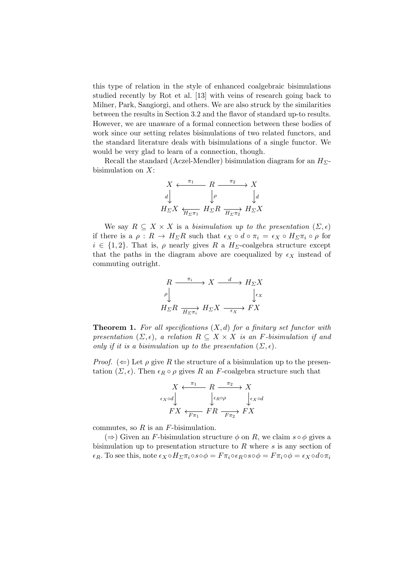this type of relation in the style of enhanced coalgebraic bisimulations studied recently by Rot et al. [13] with veins of research going back to Milner, Park, Sangiorgi, and others. We are also struck by the similarities between the results in Section 3.2 and the flavor of standard up-to results. However, we are unaware of a formal connection between these bodies of work since our setting relates bisimulations of two related functors, and the standard literature deals with bisimulations of a single functor. We would be very glad to learn of a connection, though.

Recall the standard (Aczel-Mendler) bisimulation diagram for an  $H_{\Sigma}$ bisimulation on  $X$ :

$$
X \xleftarrow{\pi_1} R \xrightarrow{\pi_2} X
$$
  
\n
$$
d \downarrow \qquad \qquad \downarrow \rho \qquad \qquad \downarrow \downarrow
$$
  
\n
$$
H_{\Sigma}X \xleftarrow{\pi_1} H_{\Sigma}R \xrightarrow{H_{\Sigma}\pi_2} H_{\Sigma}X
$$

We say  $R \subseteq X \times X$  is a bisimulation up to the presentation  $(\Sigma, \epsilon)$ if there is a  $\rho: R \to H_{\Sigma}R$  such that  $\epsilon_X \circ d \circ \pi_i = \epsilon_X \circ H_{\Sigma} \pi_i \circ \rho$  for  $i \in \{1,2\}$ . That is,  $\rho$  nearly gives R a  $H_{\Sigma}$ -coalgebra structure except that the paths in the diagram above are coequalized by  $\epsilon_X$  instead of commuting outright.



**Theorem 1.** For all specifications  $(X, d)$  for a finitary set functor with presentation  $(\Sigma, \epsilon)$ , a relation  $R \subseteq X \times X$  is an F-bisimulation if and only if it is a bisimulation up to the presentation  $(\Sigma, \epsilon)$ .

*Proof.*  $(\Leftarrow)$  Let  $\rho$  give R the structure of a bisimulation up to the presentation  $(\Sigma, \epsilon)$ . Then  $\epsilon_R \circ \rho$  gives R an F-coalgebra structure such that

$$
X \xleftarrow{\pi_1} R \xrightarrow{\pi_2} X
$$
  
\n
$$
\varepsilon_X \circ d \downarrow \qquad \qquad \downarrow \varepsilon_R \circ \rho \qquad \qquad \downarrow \varepsilon_X \circ d
$$
  
\n
$$
FX \xleftarrow{\pi_1} FR \xrightarrow{\pi_2} FX
$$

commutes, so  $R$  is an  $F$ -bisimulation.

 $(\Rightarrow)$  Given an F-bisimulation structure  $\phi$  on R, we claim  $s \circ \phi$  gives a bisimulation up to presentation structure to  $R$  where  $s$  is any section of  $\epsilon_R$ . To see this, note  $\epsilon_X \circ H_{\Sigma} \pi_i \circ s \circ \phi = F \pi_i \circ \epsilon_R \circ s \circ \phi = F \pi_i \circ \phi = \epsilon_X \circ d \circ \pi_i$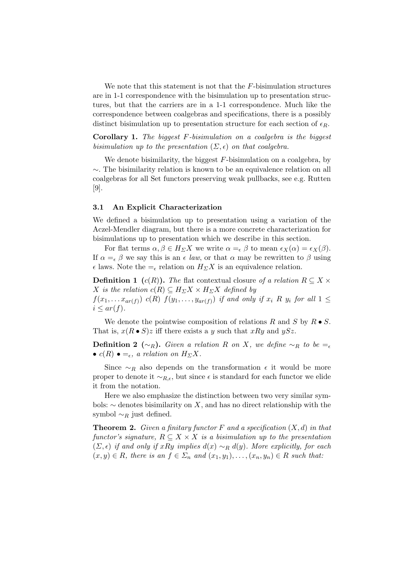We note that this statement is not that the  $F$ -bisimulation structures are in 1-1 correspondence with the bisimulation up to presentation structures, but that the carriers are in a 1-1 correspondence. Much like the correspondence between coalgebras and specifications, there is a possibly distinct bisimulation up to presentation structure for each section of  $\epsilon_R$ .

**Corollary 1.** The biggest  $F$ -bisimulation on a coalgebra is the biggest bisimulation up to the presentation  $(\Sigma, \epsilon)$  on that coalgebra.

We denote bisimilarity, the biggest  $F$ -bisimulation on a coalgebra, by ∼. The bisimilarity relation is known to be an equivalence relation on all coalgebras for all Set functors preserving weak pullbacks, see e.g. Rutten [9].

#### 3.1 An Explicit Characterization

We defined a bisimulation up to presentation using a variation of the Aczel-Mendler diagram, but there is a more concrete characterization for bisimulations up to presentation which we describe in this section.

For flat terms  $\alpha, \beta \in H_{\Sigma}X$  we write  $\alpha =_{\epsilon} \beta$  to mean  $\epsilon_X(\alpha) = \epsilon_X(\beta)$ . If  $\alpha =_{\epsilon} \beta$  we say this is an  $\epsilon$  law, or that  $\alpha$  may be rewritten to  $\beta$  using  $\epsilon$  laws. Note the  $=_{\epsilon}$  relation on  $H_{\Sigma}X$  is an equivalence relation.

**Definition 1** (c(R)). The flat contextual closure of a relation  $R \subseteq X \times Y$ X is the relation  $c(R) \subseteq H_{\Sigma}X \times H_{\Sigma}X$  defined by  $f(x_1, \ldots x_{ar(f)}) \ c(R) \ f(y_1, \ldots, y_{ar(f)}) \ if \ and \ only \ if \ x_i \ R \ y_i \ for \ all \ 1 \leq$  $i \leq ar(f)$ .

We denote the pointwise composition of relations R and S by  $R \bullet S$ . That is,  $x(R \bullet S)z$  iff there exists a y such that  $xRy$  and  $ySz$ .

**Definition 2** ( $\sim_R$ ). Given a relation R on X, we define  $\sim_R$  to be  $=_{\epsilon}$ •  $c(R) \bullet =_{\epsilon}$ , a relation on  $H_{\Sigma}X$ .

Since  $\sim_R$  also depends on the transformation  $\epsilon$  it would be more proper to denote it  $\sim_{R,\epsilon}$ , but since  $\epsilon$  is standard for each functor we elide it from the notation.

Here we also emphasize the distinction between two very similar symbols:  $\sim$  denotes bisimilarity on X, and has no direct relationship with the symbol  $\sim_R$  just defined.

**Theorem 2.** Given a finitary functor F and a specification  $(X, d)$  in that functor's signature,  $R \subseteq X \times X$  is a bisimulation up to the presentation  $(\Sigma, \epsilon)$  if and only if xRy implies  $d(x) \sim_R d(y)$ . More explicitly, for each  $(x, y) \in R$ , there is an  $f \in \Sigma_n$  and  $(x_1, y_1), \ldots, (x_n, y_n) \in R$  such that: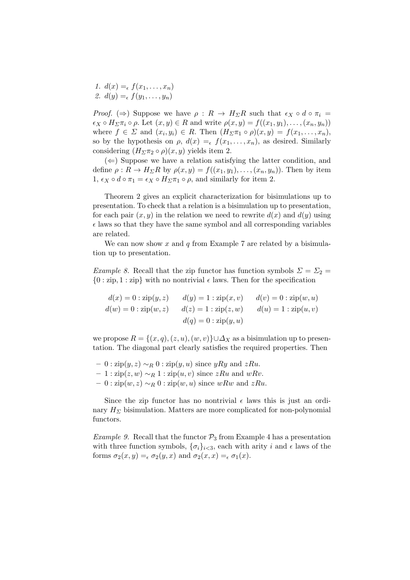1.  $d(x) = \epsilon f(x_1, \ldots, x_n)$ 2.  $d(y) = \epsilon f(y_1, \ldots, y_n)$ 

*Proof.* ( $\Rightarrow$ ) Suppose we have  $\rho : R \rightarrow H_{\Sigma}R$  such that  $\epsilon_X \circ d \circ \pi_i =$  $\epsilon_X \circ H_\Sigma \pi_i \circ \rho$ . Let  $(x, y) \in R$  and write  $\rho(x, y) = f((x_1, y_1), \ldots, (x_n, y_n))$ where  $f \in \Sigma$  and  $(x_i, y_i) \in R$ . Then  $(H_\Sigma \pi_1 \circ \rho)(x, y) = f(x_1, \ldots, x_n)$ , so by the hypothesis on  $\rho$ ,  $d(x) =_{\epsilon} f(x_1, \ldots, x_n)$ , as desired. Similarly considering  $(H_\Sigma \pi_2 \circ \rho)(x, y)$  yields item 2.

 $(\Leftarrow)$  Suppose we have a relation satisfying the latter condition, and define  $\rho: R \to H_{\Sigma}R$  by  $\rho(x, y) = f((x_1, y_1), \ldots, (x_n, y_n))$ . Then by item 1,  $\epsilon_X \circ d \circ \pi_1 = \epsilon_X \circ H_\Sigma \pi_1 \circ \rho$ , and similarly for item 2.

Theorem 2 gives an explicit characterization for bisimulations up to presentation. To check that a relation is a bisimulation up to presentation, for each pair  $(x, y)$  in the relation we need to rewrite  $d(x)$  and  $d(y)$  using  $\epsilon$  laws so that they have the same symbol and all corresponding variables are related.

We can now show x and q from Example 7 are related by a bisimulation up to presentation.

Example 8. Recall that the zip functor has function symbols  $\Sigma = \Sigma_2$  =  ${0 : zip, 1 : zip}$  with no nontrivial  $\epsilon$  laws. Then for the specification

$$
d(x) = 0 : \dot{\text{zip}}(y, z) \qquad d(y) = 1 : \dot{\text{zip}}(x, v) \qquad d(v) = 0 : \dot{\text{zip}}(w, u)
$$

$$
d(w) = 0 : \dot{\text{zip}}(w, z) \qquad d(z) = 1 : \dot{\text{zip}}(z, w) \qquad d(u) = 1 : \dot{\text{zip}}(u, v)
$$

$$
d(q) = 0 : \dot{\text{zip}}(y, u)
$$

we propose  $R = \{(x, q), (z, u), (w, v)\}\cup \Delta_X$  as a bisimulation up to presentation. The diagonal part clearly satisfies the required properties. Then

- $-0$  : zip $(y, z) \sim_R 0$  : zip $(y, u)$  since yRy and zRu.
- $-1:$  zip $(z, w) \sim_R 1:$  zip $(u, v)$  since zRu and wRv.
- $-0$ : zip $(w, z) \sim_R 0$ : zip $(w, u)$  since wRw and zRu.

Since the zip functor has no nontrivial  $\epsilon$  laws this is just an ordinary  $H_{\Sigma}$  bisimulation. Matters are more complicated for non-polynomial functors.

*Example 9.* Recall that the functor  $\mathcal{P}_3$  from Example 4 has a presentation with three function symbols,  $\{\sigma_i\}_{i<3}$ , each with arity i and  $\epsilon$  laws of the forms  $\sigma_2(x, y) =_{\epsilon} \sigma_2(y, x)$  and  $\sigma_2(x, x) =_{\epsilon} \sigma_1(x)$ .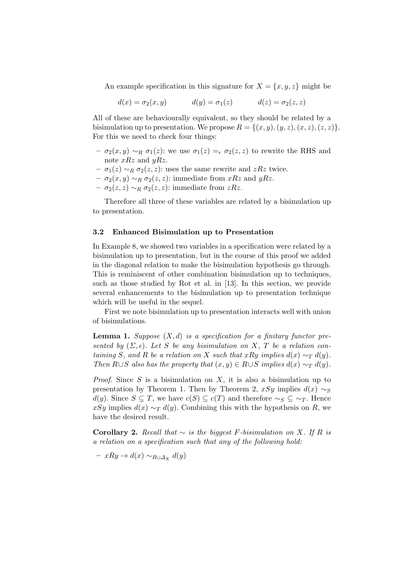An example specification in this signature for  $X = \{x, y, z\}$  might be

$$
d(x) = \sigma_2(x, y) \qquad d(y) = \sigma_1(z) \qquad d(z) = \sigma_2(z, z)
$$

All of these are behaviourally equivalent, so they should be related by a bisimulation up to presentation. We propose  $R = \{(x, y), (y, z), (x, z), (z, z)\}.$ For this we need to check four things:

- $\sigma_2(x, y) \sim_R \sigma_1(z)$ : we use  $\sigma_1(z) = \epsilon \sigma_2(z, z)$  to rewrite the RHS and note  $xRz$  and  $yRz$ .
- $σ<sub>1</sub>(z) ∼<sub>R</sub> σ<sub>2</sub>(z, z)$ : uses the same rewrite and *zRz* twice.
- $-\sigma_2(x,y) \sim_R \sigma_2(z,z)$ : immediate from xRz and yRz.
- σ2(z, z) ∼<sup>R</sup> σ2(z, z): immediate from zRz.

Therefore all three of these variables are related by a bisimulation up to presentation.

### 3.2 Enhanced Bisimulation up to Presentation

In Example 8, we showed two variables in a specification were related by a bisimulation up to presentation, but in the course of this proof we added in the diagonal relation to make the bisimulation hypothesis go through. This is reminiscent of other combination bisimulation up to techniques, such as those studied by Rot et al. in [13]. In this section, we provide several enhancements to the bisimulation up to presentation technique which will be useful in the sequel.

First we note bisimulation up to presentation interacts well with union of bisimulations.

**Lemma 1.** Suppose  $(X, d)$  is a specification for a finitary functor presented by  $(\Sigma, \epsilon)$ . Let S be any bisimulation on X, T be a relation containing S, and R be a relation on X such that xRy implies  $d(x) \sim_T d(y)$ . Then  $R\cup S$  also has the property that  $(x, y) \in R\cup S$  implies  $d(x) \sim_T d(y)$ .

*Proof.* Since S is a bisimulation on X, it is also a bisimulation up to presentation by Theorem 1. Then by Theorem 2,  $xSy$  implies  $d(x) \sim_S$  $d(y)$ . Since  $S \subseteq T$ , we have  $c(S) \subseteq c(T)$  and therefore  $\sim_S \subseteq \sim_T$ . Hence xSy implies  $d(x) \sim_T d(y)$ . Combining this with the hypothesis on R, we have the desired result.

**Corollary 2.** Recall that  $\sim$  is the biggest F-bisimulation on X. If R is a relation on a specification such that any of the following hold:

 $- xRy \rightarrow d(x) \sim_{R\cup \Delta_X} d(y)$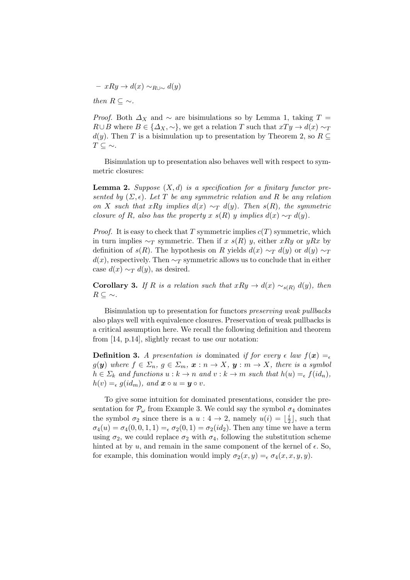$$
- xRy \to d(x) \sim_{R\cup\sim} d(y)
$$

then  $R \subseteq \sim$ .

*Proof.* Both  $\Delta_X$  and  $\sim$  are bisimulations so by Lemma 1, taking  $T =$  $R \cup B$  where  $B \in \{ \Delta_X, \sim \}$ , we get a relation T such that  $xTy \to d(x) \sim_T$  $d(y)$ . Then T is a bisimulation up to presentation by Theorem 2, so  $R \subseteq$  $T \subseteq \sim$ .

Bisimulation up to presentation also behaves well with respect to symmetric closures:

**Lemma 2.** Suppose  $(X, d)$  is a specification for a finitary functor presented by  $(\Sigma, \epsilon)$ . Let T be any symmetric relation and R be any relation on X such that xRy implies  $d(x) \sim_T d(y)$ . Then s(R), the symmetric closure of R, also has the property x s(R) y implies  $d(x) \sim_T d(y)$ .

*Proof.* It is easy to check that T symmetric implies  $c(T)$  symmetric, which in turn implies  $\sim_T$  symmetric. Then if x s(R) y, either xRy or yRx by definition of s(R). The hypothesis on R yields  $d(x) \sim_T d(y)$  or  $d(y) \sim_T$  $d(x)$ , respectively. Then  $\sim_T$  symmetric allows us to conclude that in either case  $d(x) \sim_T d(y)$ , as desired.

**Corollary 3.** If R is a relation such that  $xRy \to d(x) \sim_{s(R)} d(y)$ , then  $R \subseteq \sim$ .

Bisimulation up to presentation for functors preserving weak pullbacks also plays well with equivalence closures. Preservation of weak pullbacks is a critical assumption here. We recall the following definition and theorem from [14, p.14], slightly recast to use our notation:

**Definition 3.** A presentation is dominated if for every  $\epsilon$  law  $f(\mathbf{x}) = \epsilon$  $g(\mathbf{y})$  where  $f \in \Sigma_n$ ,  $g \in \Sigma_m$ ,  $\mathbf{x}: n \to X$ ,  $\mathbf{y}: m \to X$ , there is a symbol  $h \in \Sigma_k$  and functions  $u : k \to n$  and  $v : k \to m$  such that  $h(u) =_{\epsilon} f(id_n)$ ,  $h(v) =_{\epsilon} g(id_m)$ , and  $\mathbf{x} \circ u = \mathbf{y} \circ v$ .

To give some intuition for dominated presentations, consider the presentation for  $\mathcal{P}_{\omega}$  from Example 3. We could say the symbol  $\sigma_4$  dominates the symbol  $\sigma_2$  since there is a  $u: 4 \to 2$ , namely  $u(i) = \lfloor \frac{i}{2} \rfloor$  $\frac{i}{2}$ , such that  $\sigma_4(u) = \sigma_4(0,0,1,1) = \sigma_2(0,1) = \sigma_2(id_2)$ . Then any time we have a term using  $\sigma_2$ , we could replace  $\sigma_2$  with  $\sigma_4$ , following the substitution scheme hinted at by u, and remain in the same component of the kernel of  $\epsilon$ . So, for example, this domination would imply  $\sigma_2(x, y) =_{\epsilon} \sigma_4(x, x, y, y)$ .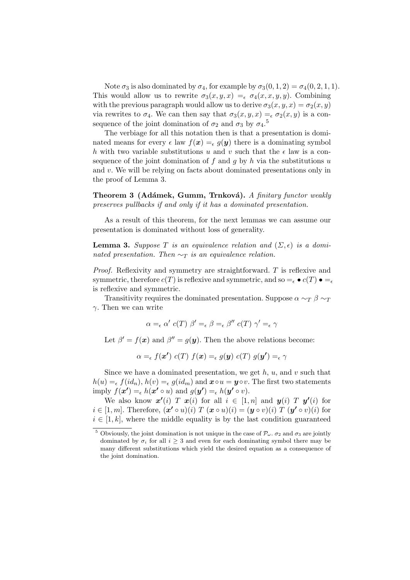Note  $\sigma_3$  is also dominated by  $\sigma_4$ , for example by  $\sigma_3(0,1,2) = \sigma_4(0,2,1,1)$ . This would allow us to rewrite  $\sigma_3(x, y, x) = \sigma_4(x, x, y, y)$ . Combining with the previous paragraph would allow us to derive  $\sigma_3(x, y, x) = \sigma_2(x, y)$ via rewrites to  $\sigma_4$ . We can then say that  $\sigma_3(x, y, x) = \epsilon \sigma_2(x, y)$  is a consequence of the joint domination of  $\sigma_2$  and  $\sigma_3$  by  $\sigma_4$ <sup>5</sup>

The verbiage for all this notation then is that a presentation is dominated means for every  $\epsilon$  law  $f(\mathbf{x}) =_{\epsilon} g(\mathbf{y})$  there is a dominating symbol h with two variable substitutions u and v such that the  $\epsilon$  law is a consequence of the joint domination of f and g by h via the substitutions  $u$ and v. We will be relying on facts about dominated presentations only in the proof of Lemma 3.

Theorem 3 (Adámek, Gumm, Trnková). A finitary functor weakly preserves pullbacks if and only if it has a dominated presentation.

As a result of this theorem, for the next lemmas we can assume our presentation is dominated without loss of generality.

**Lemma 3.** Suppose T is an equivalence relation and  $(\Sigma, \epsilon)$  is a dominated presentation. Then  $\sim_T$  is an equivalence relation.

Proof. Reflexivity and symmetry are straightforward. T is reflexive and symmetric, therefore  $c(T)$  is reflexive and symmetric, and so  $=_{\epsilon} \bullet c(T) \bullet =_{\epsilon}$ is reflexive and symmetric.

Transitivity requires the dominated presentation. Suppose  $\alpha \sim_T \beta \sim_T$  $\gamma$ . Then we can write

$$
\alpha = \epsilon \alpha' \ c(T) \ \beta' = \epsilon \beta = \epsilon \beta'' \ c(T) \ \gamma' = \epsilon \ \gamma
$$

Let  $\beta' = f(\mathbf{x})$  and  $\beta'' = g(\mathbf{y})$ . Then the above relations become:

$$
\alpha =_{\epsilon} f(\mathbf{x'}) \ c(T) \ f(\mathbf{x}) =_{\epsilon} g(\mathbf{y}) \ c(T) \ g(\mathbf{y'}) =_{\epsilon} \gamma
$$

Since we have a dominated presentation, we get  $h, u$ , and v such that  $h(u) = \epsilon f(id_n), h(v) = \epsilon g(id_m)$  and  $\mathbf{x} \circ u = \mathbf{y} \circ v$ . The first two statements imply  $f(\mathbf{x'}) =_{\epsilon} h(\mathbf{x'} \circ u)$  and  $g(\mathbf{y'}) =_{\epsilon} h(\mathbf{y'} \circ v)$ .

We also know  $\mathbf{x}'(i)$  T  $\mathbf{x}(i)$  for all  $i \in [1, n]$  and  $\mathbf{y}(i)$  T  $\mathbf{y}'(i)$  for  $i \in [1,m]$ . Therefore,  $(\mathbf{x}' \circ u)(i)$   $T (\mathbf{x} \circ u)(i) = (\mathbf{y} \circ v)(i)$   $T (\mathbf{y}' \circ v)(i)$  for  $i \in [1, k]$ , where the middle equality is by the last condition guaranteed

<sup>&</sup>lt;sup>5</sup> Obviously, the joint domination is not unique in the case of  $\mathcal{P}_{\omega}$ .  $\sigma_2$  and  $\sigma_3$  are jointly dominated by  $\sigma_i$  for all  $i \geq 3$  and even for each dominating symbol there may be many different substitutions which yield the desired equation as a consequence of the joint domination.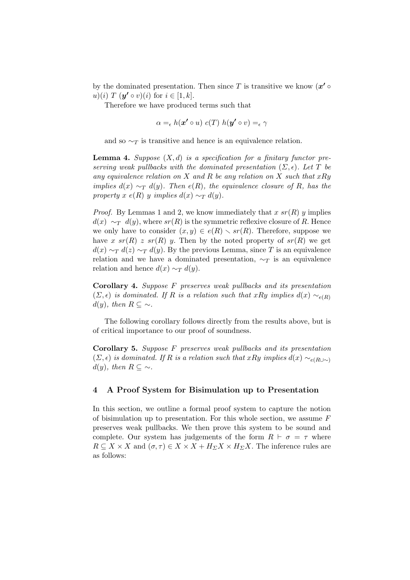by the dominated presentation. Then since T is transitive we know  $(\mathbf{x}' \circ$  $u)(i)$  T  $(\mathbf{y}' \circ v)(i)$  for  $i \in [1, k]$ .

Therefore we have produced terms such that

$$
\alpha =_{\epsilon} h(\mathbf{x'} \circ u) \ c(T) \ h(\mathbf{y'} \circ v) =_{\epsilon} \gamma
$$

and so  $\sim_T$  is transitive and hence is an equivalence relation.

**Lemma 4.** Suppose  $(X, d)$  is a specification for a finitary functor preserving weak pullbacks with the dominated presentation  $(\Sigma, \epsilon)$ . Let T be any equivalence relation on  $X$  and  $R$  be any relation on  $X$  such that  $xRy$ implies  $d(x) \sim_T d(y)$ . Then  $e(R)$ , the equivalence closure of R, has the property x e(R) y implies  $d(x) \sim_T d(y)$ .

*Proof.* By Lemmas 1 and 2, we know immediately that x  $sr(R)$  y implies  $d(x) \sim_T d(y)$ , where  $sr(R)$  is the symmetric reflexive closure of R. Hence we only have to consider  $(x, y) \in e(R) \setminus sr(R)$ . Therefore, suppose we have x  $sr(R)$  z  $sr(R)$  y. Then by the noted property of  $sr(R)$  we get  $d(x) \sim_T d(z) \sim_T d(y)$ . By the previous Lemma, since T is an equivalence relation and we have a dominated presentation,  $\sim_T$  is an equivalence relation and hence  $d(x) \sim_T d(y)$ .

Corollary 4. Suppose F preserves weak pullbacks and its presentation  $(\Sigma, \epsilon)$  is dominated. If R is a relation such that xRy implies  $d(x) \sim_{e(R)}$  $d(y)$ , then  $R \subseteq \sim$ .

The following corollary follows directly from the results above, but is of critical importance to our proof of soundness.

Corollary 5. Suppose F preserves weak pullbacks and its presentation  $(\Sigma, \epsilon)$  is dominated. If R is a relation such that xRy implies  $d(x) \sim_{e(R\cup \sim)}$  $d(y)$ , then  $R \subseteq \sim$ .

# 4 A Proof System for Bisimulation up to Presentation

In this section, we outline a formal proof system to capture the notion of bisimulation up to presentation. For this whole section, we assume  $F$ preserves weak pullbacks. We then prove this system to be sound and complete. Our system has judgements of the form  $R \vdash \sigma = \tau$  where  $R \subseteq X \times X$  and  $(\sigma, \tau) \in X \times X + H_{\Sigma}X \times H_{\Sigma}X$ . The inference rules are as follows: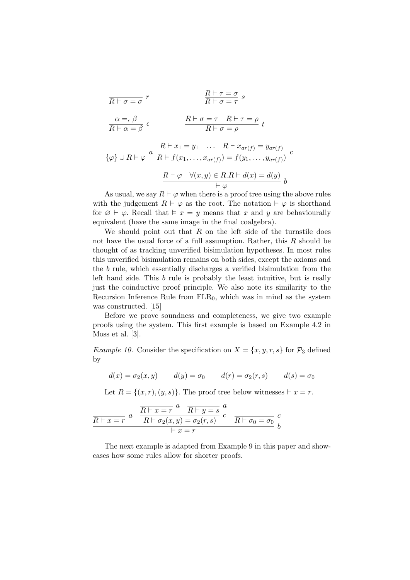$$
\frac{R \vdash \tau = \sigma}{R \vdash \sigma = \tau} s
$$
\n
$$
\frac{\alpha = \epsilon \beta}{R \vdash \alpha = \beta} \epsilon \qquad \frac{R \vdash \sigma = \tau \quad R \vdash \tau = \rho}{R \vdash \sigma = \rho} t
$$
\n
$$
\frac{R \vdash x_1 = y_1 \quad \dots \quad R \vdash x_{ar(f)} = y_{ar(f)}}{R \vdash f(x_1, \dots, x_{ar(f)}) = f(y_1, \dots, y_{ar(f)})} c
$$
\n
$$
\frac{R \vdash \varphi \quad \forall (x, y) \in R.R \vdash d(x) = d(y)}{\vdash \varphi} b
$$

As usual, we say  $R \vdash \varphi$  when there is a proof tree using the above rules with the judgement  $R \vdash \varphi$  as the root. The notation  $\vdash \varphi$  is shorthand for  $\emptyset \vdash \varphi$ . Recall that  $\models x = y$  means that x and y are behaviourally equivalent (have the same image in the final coalgebra).

We should point out that  $R$  on the left side of the turnstile does not have the usual force of a full assumption. Rather, this R should be thought of as tracking unverified bisimulation hypotheses. In most rules this unverified bisimulation remains on both sides, except the axioms and the b rule, which essentially discharges a verified bisimulation from the left hand side. This b rule is probably the least intuitive, but is really just the coinductive proof principle. We also note its similarity to the Recursion Inference Rule from  $FLR_0$ , which was in mind as the system was constructed. [15]

Before we prove soundness and completeness, we give two example proofs using the system. This first example is based on Example 4.2 in Moss et al. [3].

*Example 10.* Consider the specification on  $X = \{x, y, r, s\}$  for  $\mathcal{P}_3$  defined by

$$
d(x) = \sigma_2(x, y) \qquad d(y) = \sigma_0 \qquad d(r) = \sigma_2(r, s) \qquad d(s) = \sigma_0
$$

Let  $R = \{(x, r), (y, s)\}.$  The proof tree below witnesses  $\vdash x = r.$ 

$$
\frac{\overline{R \vdash x = r} \ a \quad \overline{R \vdash x = r} \ a \quad \overline{R \vdash y = s} \ a}{\overline{R \vdash \sigma_2(x, y) = \sigma_2(r, s)} \ c \quad \overline{R \vdash \sigma_0 = \sigma_0} \ b}
$$

The next example is adapted from Example 9 in this paper and showcases how some rules allow for shorter proofs.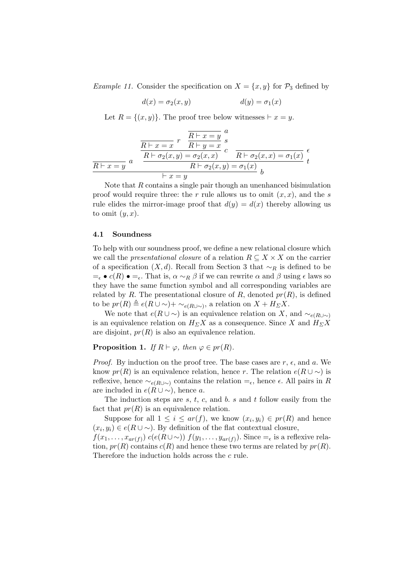*Example 11.* Consider the specification on  $X = \{x, y\}$  for  $\mathcal{P}_3$  defined by

$$
d(x) = \sigma_2(x, y) \qquad \qquad d(y) = \sigma_1(x)
$$

Let  $R = \{(x, y)\}\.$  The proof tree below witnesses  $\vdash x = y$ .

$$
\frac{\overline{R \vdash x = x} \, r \, \overline{R \vdash y = x} \, s}{\frac{\overline{R \vdash x = x} \, r \, \overline{R \vdash y = x} \, s}{\overline{R \vdash \sigma_2(x, y) = \sigma_2(x, x)}} \, c \, \overline{R \vdash \sigma_2(x, x) = \sigma_1(x)} \, t \, \overline{R \vdash x = y} \, t
$$

Note that R contains a single pair though an unenhanced bisimulation proof would require three: the r rule allows us to omit  $(x, x)$ , and the s rule elides the mirror-image proof that  $d(y) = d(x)$  thereby allowing us to omit  $(y, x)$ .

#### 4.1 Soundness

To help with our soundness proof, we define a new relational closure which we call the *presentational closure* of a relation  $R \subseteq X \times X$  on the carrier of a specification  $(X, d)$ . Recall from Section 3 that ∼R is defined to be  $=\epsilon \bullet c(R) \bullet =\epsilon$ . That is,  $\alpha \sim_R \beta$  if we can rewrite  $\alpha$  and  $\beta$  using  $\epsilon$  laws so they have the same function symbol and all corresponding variables are related by R. The presentational closure of R, denoted  $pr(R)$ , is defined to be  $pr(R) \triangleq e(R \cup \sim) + \sim_{e(R \cup \sim)}$ , a relation on  $X + H_{\Sigma}X$ .

We note that  $e(R \cup \sim)$  is an equivalence relation on X, and  $\sim_{e(R \cup \sim)}$ is an equivalence relation on  $H_{\Sigma}X$  as a consequence. Since X and  $H_{\Sigma}X$ are disjoint,  $pr(R)$  is also an equivalence relation.

**Proposition 1.** If  $R \vdash \varphi$ , then  $\varphi \in pr(R)$ .

*Proof.* By induction on the proof tree. The base cases are  $r$ ,  $\epsilon$ , and  $a$ . We know  $pr(R)$  is an equivalence relation, hence r. The relation  $e(R \cup \sim)$  is reflexive, hence  $\sim_{e(R\cup\sim)}$  contains the relation =<sub>ε</sub>, hence ε. All pairs in R are included in  $e(R \cup \sim)$ , hence a.

The induction steps are  $s, t, c$ , and  $b$ .  $s$  and  $t$  follow easily from the fact that  $pr(R)$  is an equivalence relation.

Suppose for all  $1 \leq i \leq ar(f)$ , we know  $(x_i, y_i) \in pr(R)$  and hence  $(x_i, y_i) \in e(R \cup \sim)$ . By definition of the flat contextual closure,

 $f(x_1, \ldots, x_{ar(f)}) \ c(e(R \cup \sim)) \ f(y_1, \ldots, y_{ar(f)})$ . Since  $=_{\epsilon}$  is a reflexive relation,  $pr(R)$  contains  $c(R)$  and hence these two terms are related by  $pr(R)$ . Therefore the induction holds across the c rule.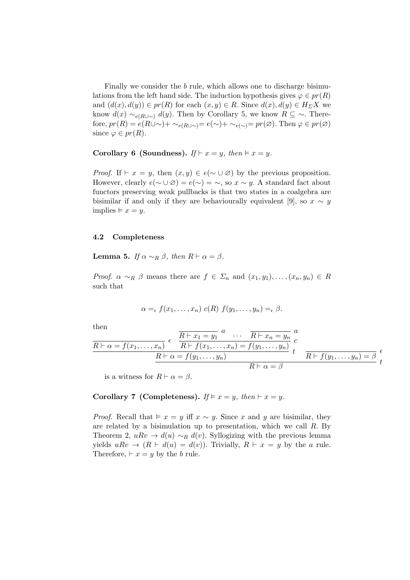Finally we consider the b rule, which allows one to discharge bisimulations from the left hand side. The induction hypothesis gives  $\varphi \in pr(R)$ and  $(d(x), d(y)) \in pr(R)$  for each  $(x, y) \in R$ . Since  $d(x), d(y) \in H_{\Sigma}X$  we know  $d(x) \sim_{e(R\cup\sim)} d(y)$ . Then by Corollary 5, we know  $R \subseteq \sim$ . Therefore,  $pr(R) = e(R\cup \sim) + \sim_{e(R\cup \sim)} = e(\sim) + \sim_{e(\sim)} = pr(\varnothing)$ . Then  $\varphi \in pr(\varnothing)$ since  $\varphi \in pr(R)$ .

Corollary 6 (Soundness). If  $\vdash x = y$ , then  $\models x = y$ .

*Proof.* If  $\vdash x = y$ , then  $(x, y) \in e(\sim \cup \emptyset)$  by the previous proposition. However, clearly  $e(\sim \cup \varnothing) = e(\sim) = \sim$ , so  $x \sim y$ . A standard fact about functors preserving weak pullbacks is that two states in a coalgebra are bisimilar if and only if they are behaviourally equivalent [9], so  $x \sim y$ implies  $\models x = y$ .

### 4.2 Completeness

**Lemma 5.** If  $\alpha \sim_R \beta$ , then  $R \vdash \alpha = \beta$ .

*Proof.*  $\alpha \sim_R \beta$  means there are  $f \in \Sigma_n$  and  $(x_1, y_1), \ldots, (x_n, y_n) \in R$ such that

$$
\alpha =_{\epsilon} f(x_1, \ldots, x_n) \ c(R) \ f(y_1, \ldots, y_n) =_{\epsilon} \beta.
$$

then

$$
\frac{\overline{R \vdash \alpha = f(x_1, \ldots, x_n)} \epsilon \frac{\overline{R \vdash x_1 = y_1}^d \cdots \overline{R \vdash x_n = y_n}^d}{\overline{R \vdash f(x_1, \ldots, x_n) = f(y_1, \ldots, y_n)} \epsilon}
$$
\n
$$
\frac{\overline{R \vdash \alpha = f(x_1, \ldots, x_n) = f(y_1, \ldots, y_n)} \epsilon}{\overline{R \vdash \alpha = \beta}} \frac{\epsilon}{t}
$$

 $\overline{a}$ 

is a witness for  $R \vdash \alpha = \beta$ .

# Corollary 7 (Completeness). If  $\models x = y$ , then  $\vdash x = y$ .

*Proof.* Recall that  $\vdash x = y$  iff  $x \sim y$ . Since x and y are bisimilar, they are related by a bisimulation up to presentation, which we call  $R$ . By Theorem 2,  $u R v \rightarrow d(u) \sim_R d(v)$ . Syllogizing with the previous lemma yields  $u R v \rightarrow (R \vdash d(u) = d(v))$ . Trivially,  $R \vdash x = y$  by the a rule. Therefore,  $\vdash x = y$  by the b rule.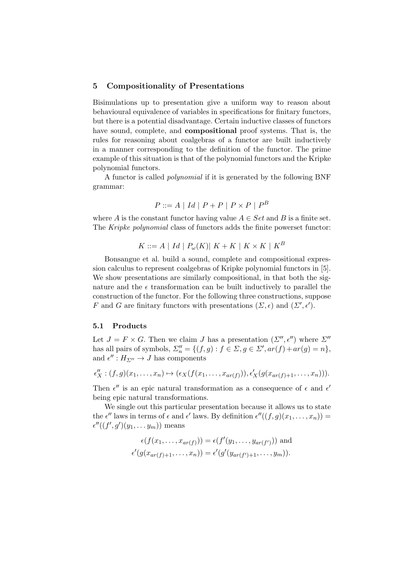#### 5 Compositionality of Presentations

Bisimulations up to presentation give a uniform way to reason about behavioural equivalence of variables in specifications for finitary functors, but there is a potential disadvantage. Certain inductive classes of functors have sound, complete, and compositional proof systems. That is, the rules for reasoning about coalgebras of a functor are built inductively in a manner corresponding to the definition of the functor. The prime example of this situation is that of the polynomial functors and the Kripke polynomial functors.

A functor is called polynomial if it is generated by the following BNF grammar:

$$
P ::= A | Id | P + P | P \times P | P^B
$$

where A is the constant functor having value  $A \in Set$  and B is a finite set. The Kripke polynomial class of functors adds the finite powerset functor:

$$
K ::= A \mid Id \mid P_{\omega}(K) \mid K + K \mid K \times K \mid K^{B}
$$

Bonsangue et al. build a sound, complete and compositional expression calculus to represent coalgebras of Kripke polynomial functors in [5]. We show presentations are similarly compositional, in that both the signature and the  $\epsilon$  transformation can be built inductively to parallel the construction of the functor. For the following three constructions, suppose F and G are finitary functors with presentations  $(\Sigma, \epsilon)$  and  $(\Sigma', \epsilon')$ .

#### 5.1 Products

Let  $J = F \times G$ . Then we claim J has a presentation  $(\Sigma'', \epsilon'')$  where  $\Sigma''$ has all pairs of symbols,  $\sum_{n}^{\prime\prime} = \{(f, g) : f \in \Sigma, g \in \Sigma', ar(f) + ar(g) = n\},\$ and  $\epsilon'': H_{\Sigma''} \to J$  has components

$$
\epsilon''_X: (f,g)(x_1,\ldots,x_n)\mapsto (\epsilon_X(f(x_1,\ldots,x_{ar(f)})),\epsilon'_X(g(x_{ar(f)+1},\ldots,x_n))).
$$

Then  $\epsilon''$  is an epic natural transformation as a consequence of  $\epsilon$  and  $\epsilon'$ being epic natural transformations.

We single out this particular presentation because it allows us to state the  $\epsilon''$  laws in terms of  $\epsilon$  and  $\epsilon'$  laws. By definition  $\epsilon''((f,g)(x_1,\ldots,x_n)) =$  $\epsilon''((f',g')(y_1,\ldots y_m))$  means

$$
\epsilon(f(x_1,\ldots,x_{ar(f)})) = \epsilon(f'(y_1,\ldots,y_{ar(f')}))
$$
 and  

$$
\epsilon'(g(x_{ar(f)+1},\ldots,x_n)) = \epsilon'(g'(y_{ar(f')+1},\ldots,y_m)).
$$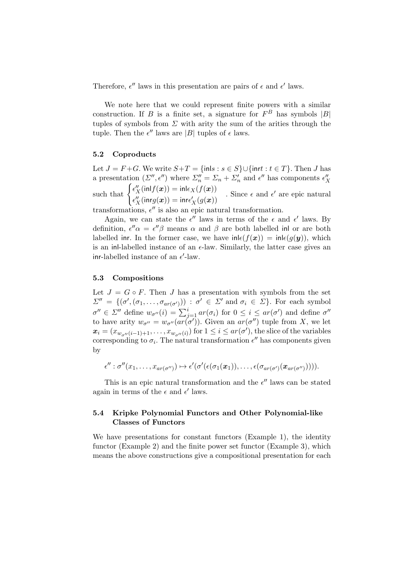Therefore,  $\epsilon''$  laws in this presentation are pairs of  $\epsilon$  and  $\epsilon'$  laws.

We note here that we could represent finite powers with a similar construction. If B is a finite set, a signature for  $F^B$  has symbols  $|B|$ tuples of symbols from  $\Sigma$  with arity the sum of the arities through the tuple. Then the  $\epsilon''$  laws are |B| tuples of  $\epsilon$  laws.

#### 5.2 Coproducts

Let  $J = F + G$ . We write  $S + T = \{ \text{in} \mid s : s \in S \} \cup \{ \text{in} \mid t : t \in T \}$ . Then J has a presentation  $(\Sigma'', \epsilon'')$  where  $\Sigma''_n = \Sigma_n + \Sigma'_n$  and  $\epsilon''$  has components  $\epsilon''_X$ <br>such that  $\begin{cases} \epsilon''_X(\text{inf}(\mathbf{x})) = \text{inf}(\epsilon_X(f(\mathbf{x}))) \\ \epsilon''_X(\epsilon_X(\epsilon_X)) = \epsilon_X(f(\mathbf{x}))) \end{cases}$ . Since  $\epsilon$  and  $\epsilon'$  are epic natural  $\epsilon_X^{\prime\prime}(\mathsf{inr}g(\boldsymbol{x}))=\mathsf{inr}\epsilon_X^{\prime}(g(\boldsymbol{x}))$ . Since  $\epsilon$  and  $\epsilon'$  are epic natural transformations,  $\epsilon''$  is also an epic natural transformation.

Again, we can state the  $\epsilon''$  laws in terms of the  $\epsilon$  and  $\epsilon'$  laws. By definition,  $\epsilon''\alpha = \epsilon''\beta$  means  $\alpha$  and  $\beta$  are both labelled in or are both labelled inr. In the former case, we have  $\text{inl}(\mathcal{f}(\boldsymbol{x})) = \text{inl}(\mathcal{g}(\boldsymbol{y}))$ , which is an in-labelled instance of an  $\epsilon$ -law. Similarly, the latter case gives an inr-labelled instance of an  $\epsilon'$ -law.

#### 5.3 Compositions

Let  $J = G \circ F$ . Then J has a presentation with symbols from the set  $\Sigma'' = \{(\sigma', (\sigma_1, \ldots, \sigma_{ar(\sigma')})) : \sigma' \in \Sigma' \text{ and } \sigma_i \in \Sigma\}.$  For each symbol  $\sigma'' \in \Sigma''$  define  $w_{\sigma''}(i) = \sum_{j=1}^i ar(\sigma_i)$  for  $0 \leq i \leq ar(\sigma')$  and define  $\sigma''$ to have arity  $w_{\sigma''} = w_{\sigma''}(ar(\sigma'))$ . Given an  $ar(\sigma'')$  tuple from X, we let  $x_i = (x_{w_{\sigma''}(i-1)+1}, \ldots, x_{w_{\sigma''}(i)})$  for  $1 \leq i \leq ar(\sigma')$ , the slice of the variables corresponding to  $\sigma_i$ . The natural transformation  $\epsilon''$  has components given by

$$
\epsilon'': \sigma''(x_1,\ldots,x_{ar(\sigma'')})\mapsto \epsilon'(\sigma'(\epsilon(\sigma_1(x_1)),\ldots,\epsilon(\sigma_{ar(\sigma')}(x_{ar(\sigma'')})))\cdots
$$

This is an epic natural transformation and the  $\epsilon''$  laws can be stated again in terms of the  $\epsilon$  and  $\epsilon'$  laws.

# 5.4 Kripke Polynomial Functors and Other Polynomial-like Classes of Functors

We have presentations for constant functors (Example 1), the identity functor (Example 2) and the finite power set functor (Example 3), which means the above constructions give a compositional presentation for each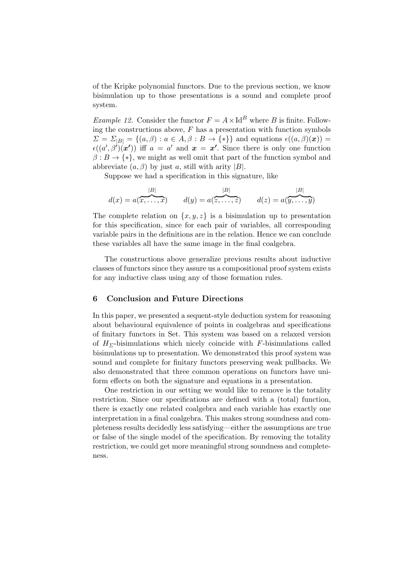of the Kripke polynomial functors. Due to the previous section, we know bisimulation up to those presentations is a sound and complete proof system.

*Example 12.* Consider the functor  $F = A \times \mathrm{Id}^B$  where B is finite. Following the constructions above,  $F$  has a presentation with function symbols  $\Sigma = \Sigma_{|B|} = \{(a, \beta) : a \in A, \beta : B \to \{*\}\}\$ and equations  $\epsilon((a, \beta)(x)) =$  $\epsilon((a',\beta')(\boldsymbol{x'}))$  iff  $a = a'$  and  $\boldsymbol{x} = \boldsymbol{x'}$ . Since there is only one function  $\beta: B \to \{*\}$ , we might as well omit that part of the function symbol and abbreviate  $(a, \beta)$  by just a, still with arity  $|B|$ .

Suppose we had a specification in this signature, like

$$
d(x) = a(\overbrace{x, \ldots, x}^{|B|}) \qquad d(y) = a(\overbrace{z, \ldots, z}^{|B|}) \qquad d(z) = a(\overbrace{y, \ldots, y}^{|B|})
$$

The complete relation on  $\{x, y, z\}$  is a bisimulation up to presentation for this specification, since for each pair of variables, all corresponding variable pairs in the definitions are in the relation. Hence we can conclude these variables all have the same image in the final coalgebra.

The constructions above generalize previous results about inductive classes of functors since they assure us a compositional proof system exists for any inductive class using any of those formation rules.

# 6 Conclusion and Future Directions

In this paper, we presented a sequent-style deduction system for reasoning about behavioural equivalence of points in coalgebras and specifications of finitary functors in Set. This system was based on a relaxed version of  $H_{\Sigma}$ -bisimulations which nicely coincide with F-bisimulations called bisimulations up to presentation. We demonstrated this proof system was sound and complete for finitary functors preserving weak pullbacks. We also demonstrated that three common operations on functors have uniform effects on both the signature and equations in a presentation.

One restriction in our setting we would like to remove is the totality restriction. Since our specifications are defined with a (total) function, there is exactly one related coalgebra and each variable has exactly one interpretation in a final coalgebra. This makes strong soundness and completeness results decidedly less satisfying—either the assumptions are true or false of the single model of the specification. By removing the totality restriction, we could get more meaningful strong soundness and completeness.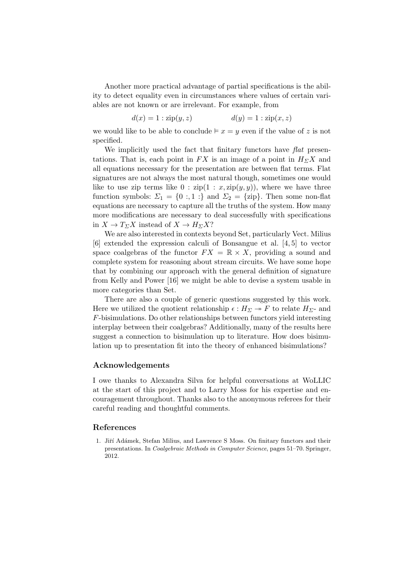Another more practical advantage of partial specifications is the ability to detect equality even in circumstances where values of certain variables are not known or are irrelevant. For example, from

$$
d(x) = 1 : \mathrm{zip}(y, z) \qquad d(y) = 1 : \mathrm{zip}(x, z)
$$

we would like to be able to conclude  $\vdash x = y$  even if the value of z is not specified.

We implicitly used the fact that finitary functors have flat presentations. That is, each point in  $FX$  is an image of a point in  $H_{\Sigma} X$  and all equations necessary for the presentation are between flat terms. Flat signatures are not always the most natural though, sometimes one would like to use zip terms like  $0 : zip(1 : x, zip(y, y))$ , where we have three function symbols:  $\Sigma_1 = \{0 : 1 : \}$  and  $\Sigma_2 = \{zip\}$ . Then some non-flat equations are necessary to capture all the truths of the system. How many more modifications are necessary to deal successfully with specifications in  $X \to T_{\Sigma}X$  instead of  $X \to H_{\Sigma}X$ ?

We are also interested in contexts beyond Set, particularly Vect. Milius [6] extended the expression calculi of Bonsangue et al. [4, 5] to vector space coalgebras of the functor  $FX = \mathbb{R} \times X$ , providing a sound and complete system for reasoning about stream circuits. We have some hope that by combining our approach with the general definition of signature from Kelly and Power [16] we might be able to devise a system usable in more categories than Set.

There are also a couple of generic questions suggested by this work. Here we utilized the quotient relationship  $\epsilon : H_{\Sigma} \to F$  to relate  $H_{\Sigma}$ - and F-bisimulations. Do other relationships between functors yield interesting interplay between their coalgebras? Additionally, many of the results here suggest a connection to bisimulation up to literature. How does bisimulation up to presentation fit into the theory of enhanced bisimulations?

### Acknowledgements

I owe thanks to Alexandra Silva for helpful conversations at WoLLIC at the start of this project and to Larry Moss for his expertise and encouragement throughout. Thanks also to the anonymous referees for their careful reading and thoughtful comments.

# References

1. Jiří Adámek, Stefan Milius, and Lawrence S Moss. On finitary functors and their presentations. In Coalgebraic Methods in Computer Science, pages 51–70. Springer, 2012.